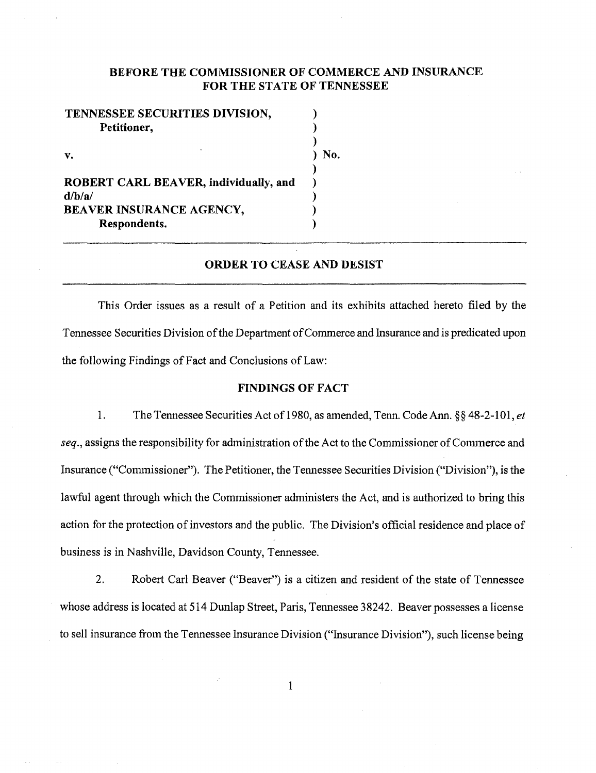# BEFORE THE COMMISSIONER OF COMMERCE AND INSURANCE FOR THE STATE OF TENNESSEE

| TENNESSEE SECURITIES DIVISION,               |     |
|----------------------------------------------|-----|
| Petitioner,                                  |     |
|                                              |     |
| v.                                           | No. |
|                                              |     |
| <b>ROBERT CARL BEAVER, individually, and</b> |     |
| d/b/a/                                       |     |
| BEAVER INSURANCE AGENCY,                     |     |
| Respondents.                                 |     |

### ORDER TO CEASE AND DESIST

This Order issues as a result of a Petition and its exhibits attached hereto filed by the Tennessee Securities Division of the Department of Commerce and lnsurance and is predicated upon the following Findings of Fact and Conclusions of Law:

### FINDINGS OF FACT

1. The Tennessee Securities Act of1980, as amended, Tenn. Code Ann.§§ 48-2-101, *et seq.,* assigns the responsibility for administration of the Act to the Commissioner of Commerce and Insurance ("Commissioner"). The Petitioner, the Tennessee Securities Division ("Division"), is the lawful agent through which the Commissioner administers the Act, and is authorized to bring this action for the protection of investors and the public. The Division's official residence and place of business is in Nashville, Davidson County, Tennessee.

2. Robert Carl Beaver ("Beaver") is a citizen and resident of the state of Tennessee whose address is located at 514 Dunlap Street, Paris, Tennessee 38242. Beaver possesses a license to sell insurance from the Tennessee lnsurance Division ("Insurance Division"), such license being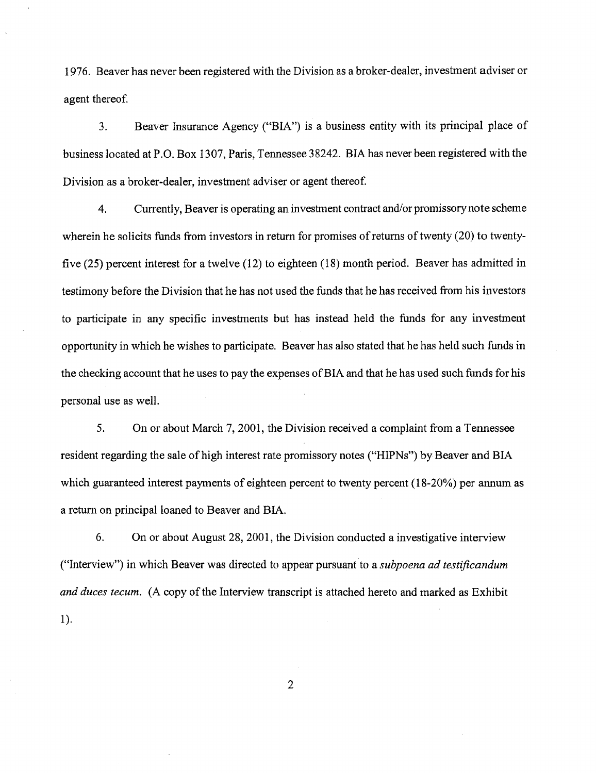1976. Beaver has never been registered with the Division as a broker-dealer, investment adviser or agent thereof.

3. Beaver Insurance Agency ("BIA") is a business entity with its principal place of business located at P.O. Box 1307, Paris, Tennessee 38242. BIA has never been registered with the Division as a broker-dealer, investment adviser or agent thereof.

4. Currently, Beaver is operating an investment contract and/or promissory note scheme wherein he solicits funds from investors in return for promises of returns of twenty (20) to twentyfive (25) percent interest for a twelve (12) to eighteen (18) month period. Beaver has admitted in testimony before the Division that he has not used the funds that he has received from his investors to participate in any specific investments but has instead held the funds for any investment opportunity in which he wishes to participate. Beaver has also stated that he has held such funds in the checking account that he uses to pay the expenses ofBIA and that he has used such funds for his personal use as well.

5. On or about March 7, 2001, the Division received a complaint from a Tennessee resident regarding the sale of high interest rate promissory notes ("HIPNs") by Beaver and BIA which guaranteed interest payments of eighteen percent to twenty percent (18-20%) per annum as a return on principal loaned to Beaver and BIA.

6. On or about August 28, 2001, the Division conducted a investigative interview ("Interview") in which Beaver was directed to appear pursuant to a *subpoena ad testificandum and duces tecum.* (A copy of the Interview transcript is attached hereto and marked as Exhibit 1 ).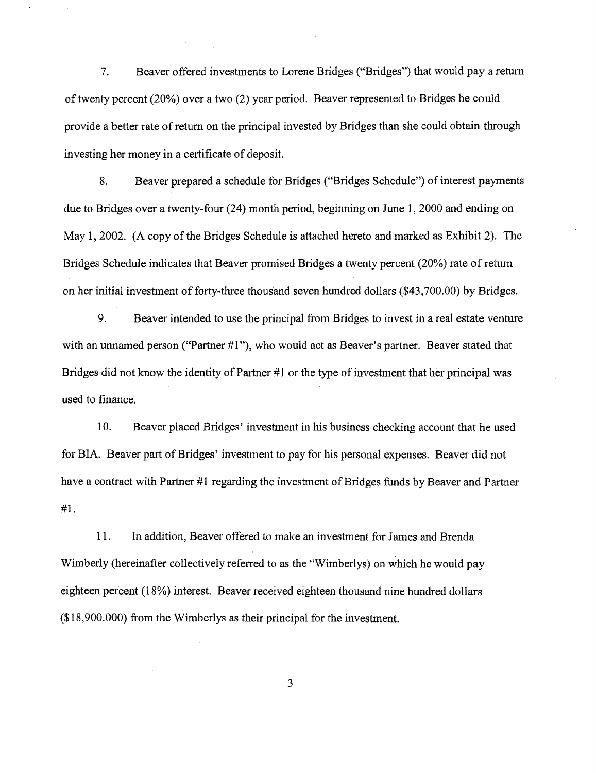7. Beaver offered investments to Lorene Bridges ("Bridges") that would pay a return of twenty percent (20%) over a two (2) year period. Beaver represented to Bridges he could provide a better rate of return on the principal invested by Bridges than she could obtain through investing her money in a certificate of deposit.

8. Beaver prepared a schedule for Bridges ("Bridges Schedule") of interest payments due to Bridges over a twenty-four (24) month period, beginning on June 1, 2000 and ending on May 1, 2002. (A copy of the Bridges Schedule is attached hereto and marked as Exhibit 2). The Bridges Schedule indicates that Beaver promised Bridges a twenty percent (20%) rate of return on her initial investment of forty-three thousand seven hundred dollars (\$43,700.00) by Bridges.

9. Beaver intended to use the principal from Bridges to invest in a real estate venture with an unnamed person ("Partner  $#1$ "), who would act as Beaver's partner. Beaver stated that Bridges did not know the identity of Partner #1 or the type of investment that her principal was used to finance.

10. Beaver placed Bridges' investment in his business checking account that he used for BIA. Beaver part of Bridges' investment to pay for his personal expenses. Beaver did not have a contract with Partner #1 regarding the investment of Bridges funds by Beaver and Partner #1.

11. In addition, Beaver offered to make an investment for James and Brenda Wimberly (hereinafter collectively referred to as the "Wimberlys) on which he would pay eighteen percent (18%) interest. Beaver received eighteen thousand nine hundred dollars (\$18,900.000) from the Wimberlys as their principal for the investment.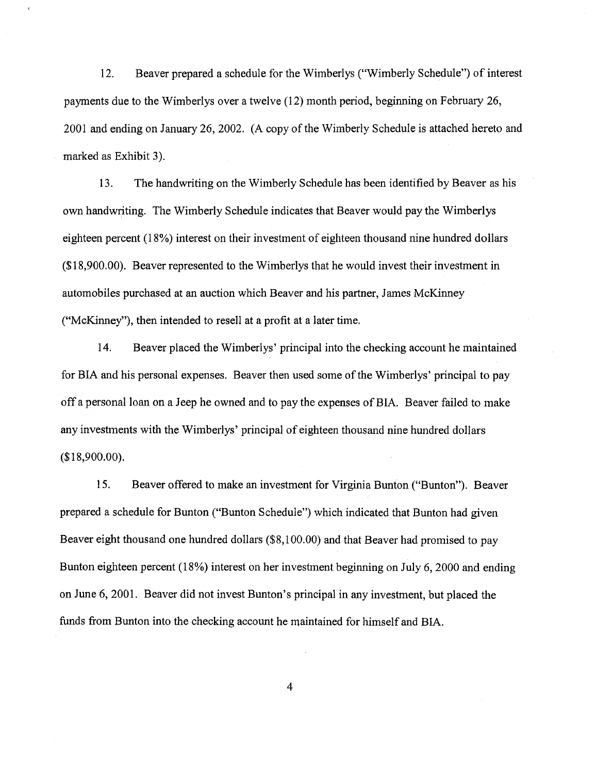12. Beaver prepared a schedule for the Wimberlys ("Wimberly Schedule") of interest payments due to the Wimberlys over a twelve (12) month period, beginning on February 26, 2001 and ending on January 26, 2002. (A copy of the Wimberly Schedule is attached hereto and marked as Exhibit 3).

13. The handwriting on the Wimberly Schedule has been identified by Beaver as his own handwriting. The Wimberly Schedule indicates that Beaver would pay the Wimberlys eighteen percent (18%) interest on their investment of eighteen thousand nine hundred dollars (\$18,900.00). Beaver represented to the Wimberlys that he would invest their investment in automobiles purchased at an auction which Beaver and his partner, James McKinney ("McKinney"), then intended to resell at a profit at a later time.

14. Beaver placed the Wimberlys' principal into the checking account he maintained for BIA and his personal expenses. Beaver then used some of the Wimberlys' principal to pay off a personal loan on a Jeep he owned and to pay the expenses of BIA. Beaver failed to make any investments with the Wimberlys' principal of eighteen thousand nine hundred dollars (\$18,900.00).

15. Beaver offered to make an investment for Virginia Bunton ("Bunton"). Beaver prepared a schedule for Bunton ("Bunton Schedule") which indicated that Bunton had given Beaver eight thousand one hundred dollars (\$8,100.00) and that Beaver had promised to pay Bunton eighteen percent (18%) interest on her investment beginning on July 6, 2000 and ending on June 6, 2001. Beaver did not invest Bunton's principal in any investment, but placed the funds from Bunton into the checking account he maintained for himself and BIA.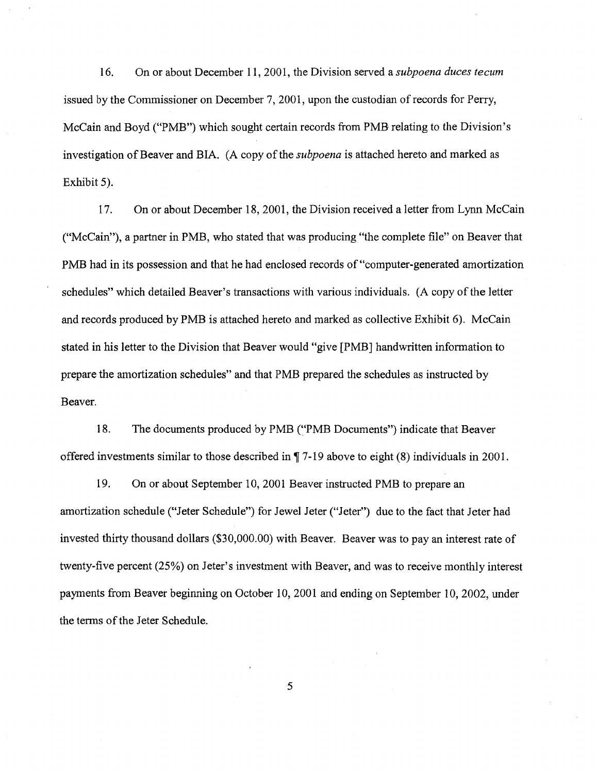16. On or about December 11, 2001, the Division served a *subpoena duces tecum*  issued by the Commissioner on December 7, 2001, upon the custodian of records for Perry, McCain and Boyd ("PMB") which sought certain records from PMB relating to the Division's investigation of Beaver and BIA. (A copy of the *subpoena* is attached hereto and marked as Exhibit 5).

17. On or about December 18,2001, the Division received a letter from Lynn McCain ("McCain"), a partner in PMB, who stated that was producing "the complete file" on Beaver that PMB had in its possession and that he had enclosed records of "computer-generated amortization schedules" which detailed Beaver's transactions with various individuals. (A copy of the letter and records produced by PMB is attached hereto and marked as collective Exhibit 6). McCain stated in his letter to the Division that Beaver would "give [PMB] handwritten information to prepare the amortization schedules" and that PMB prepared the schedules as instructed by Beaver.

18. The documents produced by PMB ("PMB Documents") indicate that Beaver offered investments similar to those described in  $\P$  7-19 above to eight (8) individuals in 2001.

19. On or about September 10, 2001 Beaver instructed PMB to prepare an amortization schedule ("Jeter Schedule") for Jewel Jeter ("Jeter") due to the fact that Jeter had invested thirty thousand dollars (\$30,000.00) with Beaver. Beaver was to pay an interest rate of twenty-five percent (25%) on Jeter's investment with Beaver, and was to receive monthly interest payments from Beaver beginning on October 10,2001 and ending on September 10,2002, under the terms of the Jeter Schedule.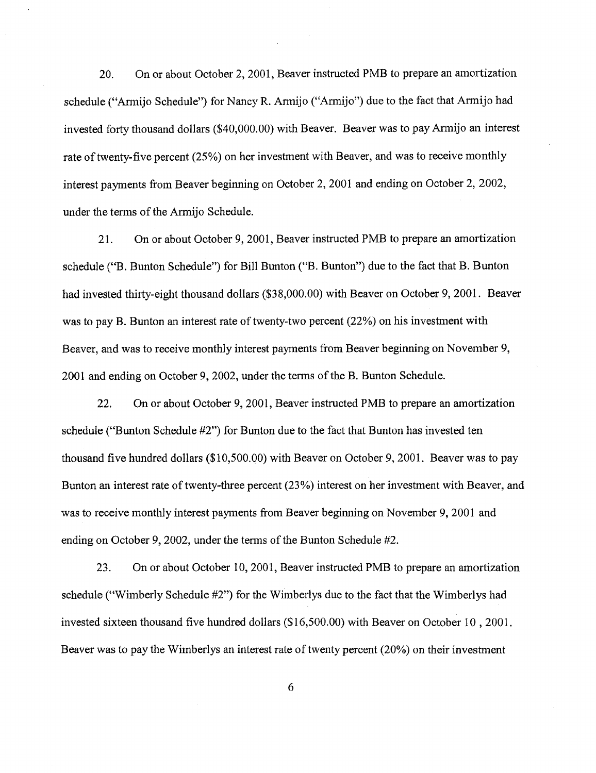20. On or about October 2, 2001, Beaver instructed PMB to prepare an amortization schedule ("Armijo Schedule") for Nancy R. Armijo ("Armijo") due to the fact that Armijo had invested forty thousand dollars (\$40,000.00) with Beaver. Beaver was to pay Armijo an interest rate of twenty-five percent (25%) on her investment with Beaver, and was to receive monthly interest payments from Beaver beginning on October 2, 2001 and ending on October 2, 2002, under the terms of the Armijo Schedule.

21. On or about October 9, 2001, Beaver instructed PMB to prepare an amortization schedule ("B. Bunton Schedule") for Bill Bunton ("B. Bunton") due to the fact that B. Bunton had invested thirty-eight thousand dollars (\$38,000.00) with Beaver on October 9, 2001. Beaver was to pay B. Bunton an interest rate of twenty-two percent (22%) on his investment with Beaver, and was to receive monthly interest payments from Beaver beginning on November 9, 2001 and ending on October 9, 2002, under the terms of the B. Bunton Schedule.

22. On or about October 9, 2001, Beaver instructed PMB to prepare an amortization schedule ("Bunton Schedule #2") for Bunton due to the fact that Bunton has invested ten thousand five hundred dollars (\$10,500.00) with Beaver on October 9, 2001. Beaver was to pay Bunton an interest rate of twenty-three percent (23%) interest on her investment with Beaver, and was to receive monthly interest payments from Beaver beginning on November 9, 2001 and ending on October 9, 2002, under the terms of the Bunton Schedule #2.

23. On or about October 10, 2001, Beaver instructed PMB to prepare an amortization schedule ("Wimberly Schedule #2") for the Wimberlys due to the fact that the Wimberlys had invested sixteen thousand five hundred dollars (\$16,500.00) with Beaver on October 10 , 2001. Beaver was to pay the Wimberlys an interest rate of twenty percent (20%) on their investment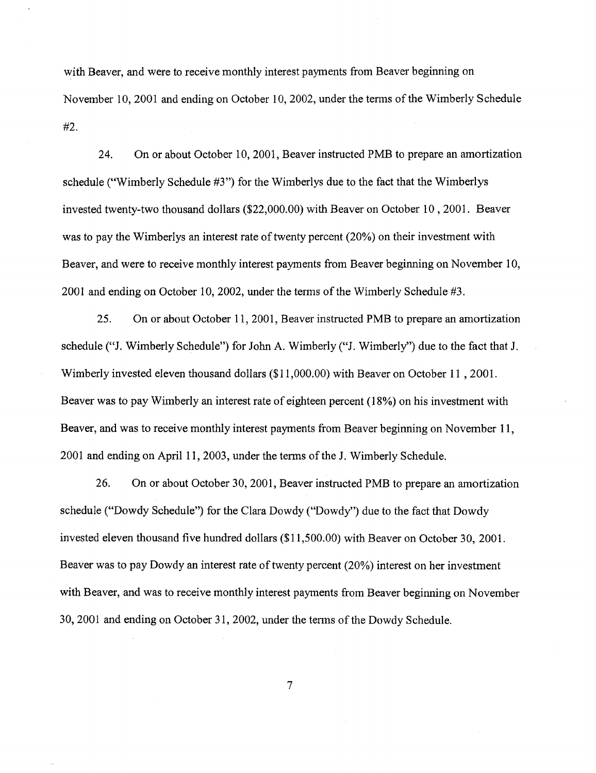with Beaver, and were to receive monthly interest payments from Beaver beginning on November 10, 2001 and ending on October 10, 2002, under the terms of the Wimberly Schedule #2.

24. On or about October 10,2001, Beaver instructed PMB to prepare an amortization schedule ("Wimberly Schedule #3") for the Wimberlys due to the fact that the Wimberlys invested twenty-two thousand dollars (\$22,000.00) with Beaver on October 10, 2001. Beaver was to pay the Wimberlys an interest rate of twenty percent (20%) on their investment with Beaver, and were to receive monthly interest payments from Beaver beginning on November 10, 2001 and ending on October 10, 2002, under the terms of the Wimberly Schedule  $#3$ .

25. On or about October 11, 2001, Beaver instructed PMB to prepare an amortization schedule ("J. Wimberly Schedule") for John A. Wimberly ("J. Wimberly") due to the fact that J. Wimberly invested eleven thousand dollars (\$11 ,000.00) with Beaver on October 11 , 2001. Beaver was to pay Wimberly an interest rate of eighteen percent (18%) on his investment with Beaver, and was to receive monthly interest payments from Beaver beginning on November 11, 2001 and ending on April11, 2003, under the terms of the J. Wimberly Schedule.

26. On or about October 30, 2001, Beaver instructed PMB to prepare an amortization schedule ("Dowdy Schedule") for the Clara Dowdy ("Dowdy") due to the fact that Dowdy invested eleven thousand five hundred dollars (\$11,500.00) with Beaver on October 30, 2001. Beaver was to pay Dowdy an interest rate of twenty percent (20%) interest on her investment with Beaver, and was to receive monthly interest payments from Beaver beginning on November 30, 2001 and ending on October 31, 2002, under the terms of the Dowdy Schedule.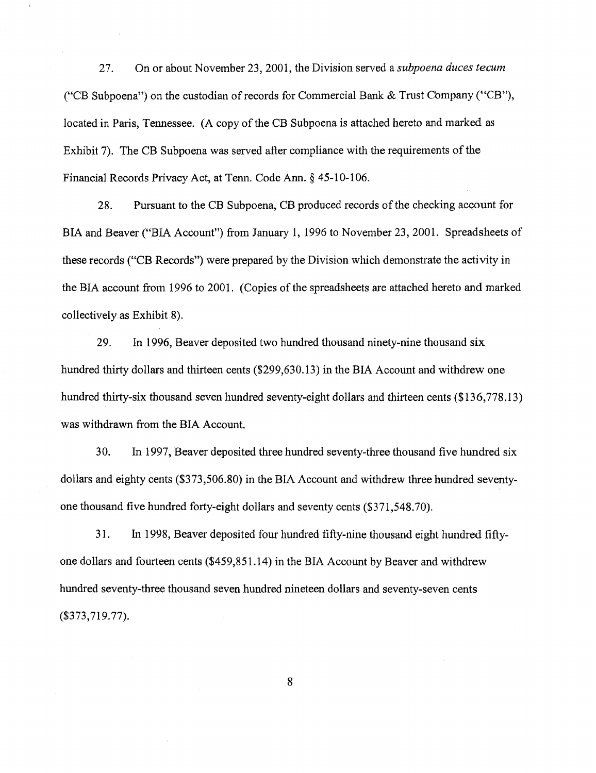27. On or about November 23, 2001, the Division served a *subpoena duces tecum*  ("CB Subpoena") on the custodian of records for Commercial Bank  $&$  Trust Company ("CB"), located in Paris, Tennessee. (A copy of the CB Subpoena is attached hereto and marked as Exhibit 7). The CB Subpoena was served after compliance with the requirements of the Financial Records Privacy Act, at Tenn. Code Ann. § 45-10-106.

28. Pursuant to the CB Subpoena, CB produced records of the checking account for BIA and Beaver ("BIA Account") from January 1, 1996 to November 23, 2001. Spreadsheets of these records ("CB Records") were prepared by the Division which demonstrate the activity in the BIA account from 1996 to 2001. (Copies of the spreadsheets are attached hereto and marked collectively as Exhibit 8).

29. In 1996, Beaver deposited two hundred thousand ninety-nine thousand six hundred thirty dollars and thirteen cents (\$299,630.13) in the BIA Account and withdrew one hundred thirty-six thousand seven hundred seventy-eight dollars and thirteen cents (\$136,778.13) was withdrawn from the BIA Account.

30. In 1997, Beaver deposited three hundred seventy-three thousand five hundred six dollars and eighty cents (\$373,506.80) in the BIA Account and withdrew three hundred seventyone thousand five hundred forty-eight dollars and seventy cents (\$371,548.70).

31. In 1998, Beaver deposited four hundred fifty-nine thousand eight hundred fiftyone dollars and fourteen cents (\$459,851.14) in the BIA Account by Beaver and withdrew hundred seventy-three thousand seven hundred nineteen dollars and seventy-seven cents (\$373,719.77).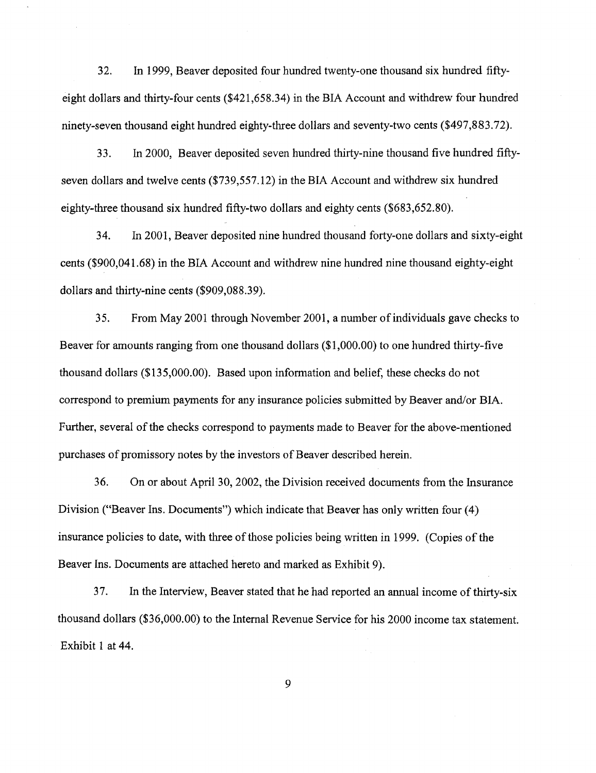32. In 1999, Beaver deposited four hundred twenty-one thousand six hundred fiftyeight dollars and thirty-four cents (\$421,658.34) in the BIA Account and withdrew four hundred ninety-seven thousand eight hundred eighty-three dollars and seventy-two cents (\$497,883.72).

33. In 2000, Beaver deposited seven hundred thirty-nine thousand five hundred fiftyseven dollars and twelve cents (\$739,557.12) in the BIA Account and withdrew six hundred eighty-three thousand six hundred fifty-two dollars and eighty cents (\$683,652.80).

34. In 2001, Beaver deposited nine hundred thousand forty-one dollars and sixty-eight cents (\$900,041.68) in the BIA Account and withdrew nine hundred nine thousand eighty-eight dollars and thirty-nine cents (\$909,088.39).

35. From May 2001 through November 2001, a number of individuals gave checks to Beaver for amounts ranging from one thousand dollars (\$1,000.00) to one hundred thirty-five thousand dollars (\$135,000.00). Based upon information and belief, these checks do not correspond to premium payments for any insurance policies submitted by Beaver and/or BIA. Further, several of the checks correspond to payments made to Beaver for the above-mentioned purchases of promissory notes by the investors of Beaver described herein.

36. On or about April 30, 2002, the Division received documents from the Insurance Division ("Beaver Ins. Documents") which indicate that Beaver has only written four (4) insurance policies to date, with three of those policies being written in 1999. (Copies of the Beaver Ins. Documents are attached hereto and marked as Exhibit 9).

37. In the Interview, Beaver stated that he had reported an annual income of thirty-six thousand dollars (\$36,000.00) to the Internal Revenue Service for his 2000 income tax statement. Exhibit 1 at 44.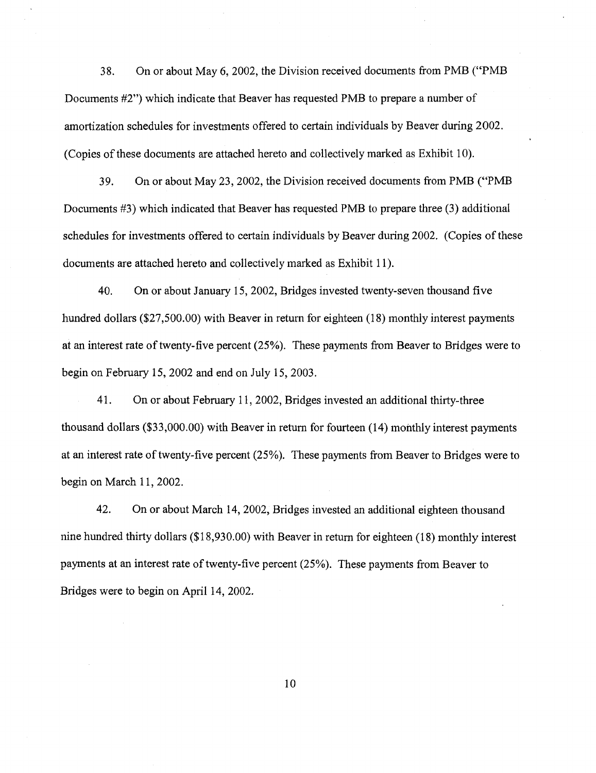38. On or about May 6, 2002, the Division received documents from PMB ("PMB Documents #2") which indicate that Beaver has requested PMB to prepare a number of amortization schedules for investments offered to certain individuals by Beaver during 2002. (Copies of these documents are attached hereto and collectively marked as Exhibit 10).

39. On or about May 23,2002, the Division received documents from PMB ("PMB Documents #3) which indicated that Beaver has requested PMB to prepare three (3) additional schedules for investments offered to certain individuals by Beaver during 2002. (Copies of these documents are attached hereto and collectively marked as Exhibit 11 ).

40. On or about January 15, 2002, Bridges invested twenty-seven thousand five hundred dollars (\$27,500.00) with Beaver in return for eighteen (18) monthly interest payments at an interest rate of twenty-five percent (25%). These payments from Beaver to Bridges were to begin on February 15,2002 and end on July 15,2003.

41. On or about February 11, 2002, Bridges invested an additional thirty-three thousand dollars (\$33,000.00) with Beaver in return for fourteen (14) monthly interest payments at an interest rate of twenty-five percent (25%). These payments from Beaver to Bridges were to begin on March 11, 2002.

42. On or about March 14, 2002, Bridges invested an additional eighteen thousand nine hundred thirty dollars (\$18,930.00) with Beaver in return for eighteen (18) monthly interest payments at an interest rate of twenty-five percent (25%). These payments from Beaver to Bridges were to begin on April 14, 2002.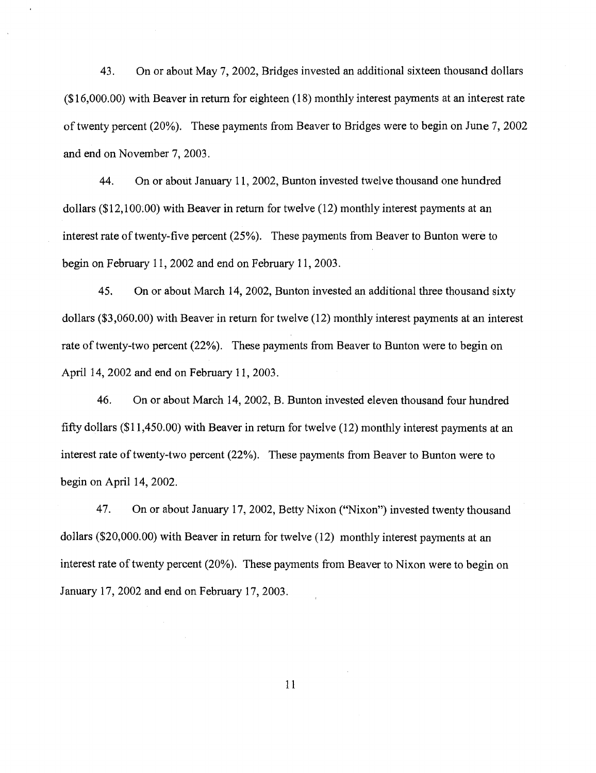43. On or about May 7, 2002, Bridges invested an additional sixteen thousand dollars (\$16,000.00) with Beaver in return for eighteen (18) monthly interest payments at an interest rate of twenty percent (20%). These payments from Beaver to Bridges were to begin on June 7, 2002 and end on November 7, 2003.

44. On or about January 11, 2002, Bunton invested twelve thousand one hundred dollars (\$12,100.00) with Beaver in return for twelve (12) monthly interest payments at an interest rate of twenty-five percent (25%). These payments from Beaver to Bunton were to begin on February 11, 2002 and end on February 11, 2003.

45. On or about March 14, 2002, Bunton invested an additional three thousand sixty dollars (\$3,060.00) with Beaver in return for twelve (12) monthly interest payments at an interest rate of twenty-two percent (22%). These payments from Beaver to Bunton were to begin on April 14, 2002 and end on February 11, 2003.

46. On or about March 14, 2002, B. Bunton invested eleven thousand four hundred fifty dollars (\$11,450.00) with Beaver in return for twelve  $(12)$  monthly interest payments at an interest rate of twenty-two percent (22%). These payments from Beaver to Bunton were to begin on April  $14, 2002$ .

47. On or about January 17, 2002, Betty Nixon ("Nixon") invested twenty thousand dollars (\$20,000.00) with Beaver in return for twelve (12) monthly interest payments at an interest rate of twenty percent (20%). These payments from Beaver to Nixon were to begin on January 17, 2002 and end on February 17, 2003.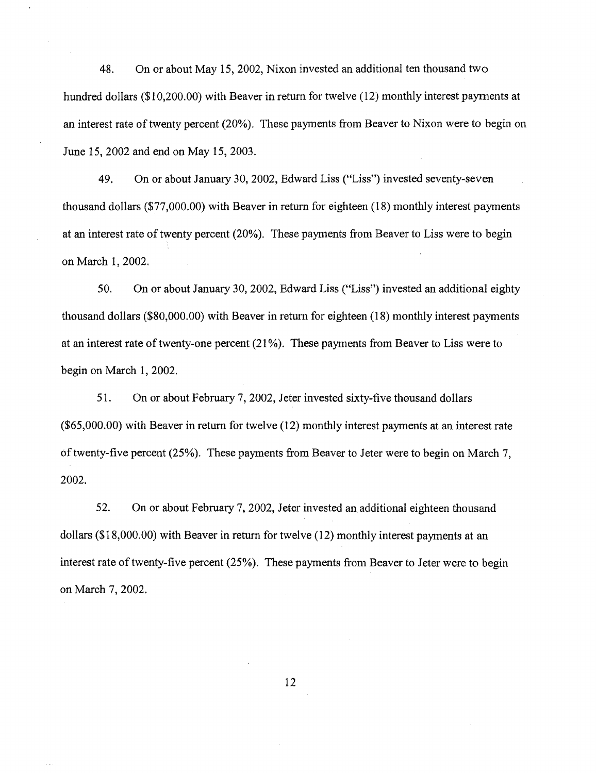48. On or about May 15, 2002, Nixon invested an additional ten thousand two hundred dollars (\$10,200.00) with Beaver in return for twelve (12) monthly interest payments at an interest rate of twenty percent (20%). These payments from Beaver to Nixon were to begin on June 15, 2002 and end on May 15, 2003.

49. On or about January 30, 2002, Edward Liss ("Liss") invested seventy-seven thousand dollars (\$77 ,000.00) with Beaver in return for eighteen (18) monthly interest payments at an interest rate of twenty percent (20%). These payments from Beaver to Liss were to begin on March 1, 2002.

50. On or about January 30, 2002, Edward Liss ("Liss") invested an additional eighty thousand dollars (\$80,000.00) with Beaver in return for eighteen (18) monthly interest payments at an interest rate of twenty-one percent (21 %). These payments from Beaver to Liss were to begin on March 1, 2002.

51. On or about February 7, 2002, Jeter invested sixty-five thousand dollars (\$65,000.00) with Beaver in return for twelve (12) monthly interest payments at an interest rate of twenty-five percent (25%). These payments from Beaver to Jeter were to begin on March 7, 2002.

52. On or about February 7, 2002, Jeter invested an additional eighteen thousand dollars (\$18,000.00) with Beaver in return for twelve (12) monthly interest payments at an interest rate of twenty-five percent (25%). These payments from Beaver to Jeter were to begin on March 7, 2002.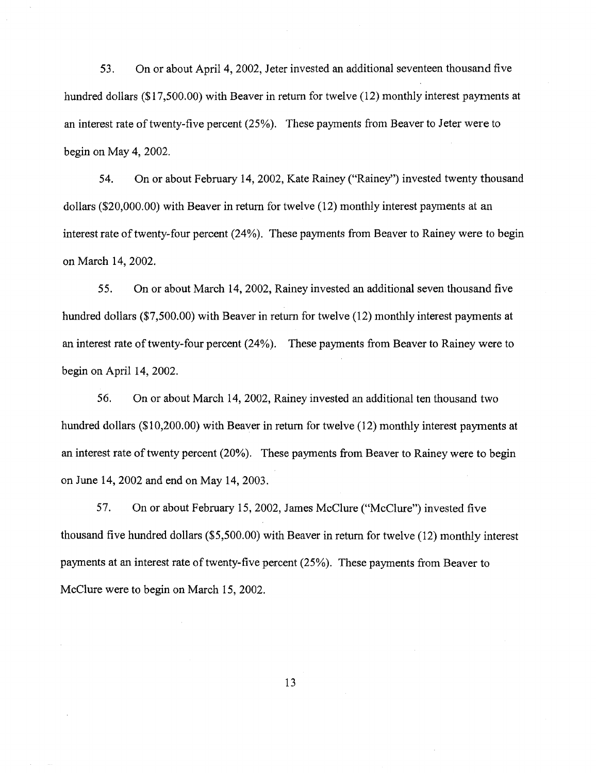53. On or about April 4, 2002, Jeter invested an additional seventeen thousand five hundred dollars (\$17,500.00) with Beaver in return for twelve (12) monthly interest payments at an interest rate of twenty-five percent (25%). These payments from Beaver to Jeter were to begin on May 4, 2002.

54. On or about February 14, 2002, Kate Rainey ("Rainey") invested twenty thousand dollars (\$20,000.00) with Beaver in return for twelve (12) monthly interest payments at an interest rate of twenty-four percent (24%). These payments from Beaver to Rainey were to begin on March 14, 2002.

55. On or about March 14, 2002, Rainey invested an additional seven thousand five hundred dollars (\$7,500.00) with Beaver in return for twelve (12) monthly interest payments at an interest rate of twenty-four percent (24%). These payments from Beaver to Rainey were to begin on April 14, 2002.

56. On or about March 14, 2002, Rainey invested an additional ten thousand two hundred dollars (\$10,200.00) with Beaver in return for twelve (12) monthly interest payments at an interest rate of twenty percent (20%). These payments from Beaver to Rainey were to begin on June 14, 2002 and end on May 14, 2003.

57. On or about February 15,2002, James McClure ("McClure") invested five thousand five hundred dollars (\$5,500.00) with Beaver in return for twelve (12) monthly interest payments at an interest rate of twenty-five percent (25%). These payments from Beaver to McClure were to begin on March 15, 2002.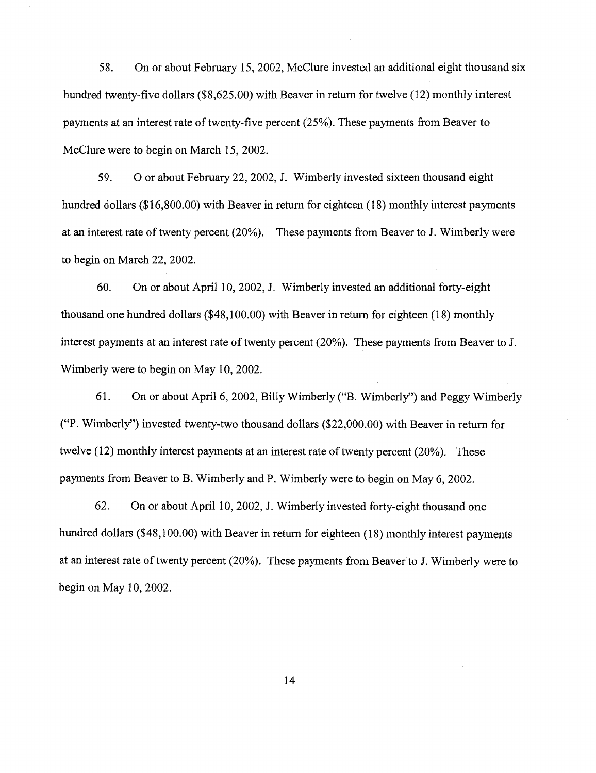58. On or about February 15, 2002, McClure invested an additional eight thousand six hundred twenty-five dollars (\$8,625.00) with Beaver in return for twelve (12) monthly interest payments at an interest rate of twenty-five percent (25%). These payments from Beaver to McClure were to begin on March 15, 2002.

59. 0 or about February 22, 2002, J. Wimberly invested sixteen thousand eight hundred dollars (\$16,800.00) with Beaver in return for eighteen (18) monthly interest payments at an interest rate of twenty percent (20%). These payments from Beaver to J. Wimberly were to begin on March 22, 2002.

60. On or about April 10, 2002, J. Wimberly invested an additional forty-eight thousand one hundred dollars (\$48,100.00) with Beaver in return for eighteen (18) monthly interest payments at an interest rate of twenty percent (20%). These payments from Beaver to J. Wimberly were to begin on May 10, 2002.

61. On or about April 6, 2002, Billy Wimberly ("B. Wimberly'') and Peggy Wimberly ("P. Wimberly") invested twenty-two thousand dollars (\$22,000.00) with Beaver in return for twelve (12) monthly interest payments at an interest rate of twenty percent (20%). These payments from Beaver to B. Wimberly and P. Wimberly were to begin on May 6, 2002.

62. On or about April 10, 2002, J. Wimberly invested forty-eight thousand one hundred dollars (\$48,100.00) with Beaver in return for eighteen (18) monthly interest payments at an interest rate of twenty percent (20%). These payments from Beaver to J. Wimberly were to begin on May 10, 2002.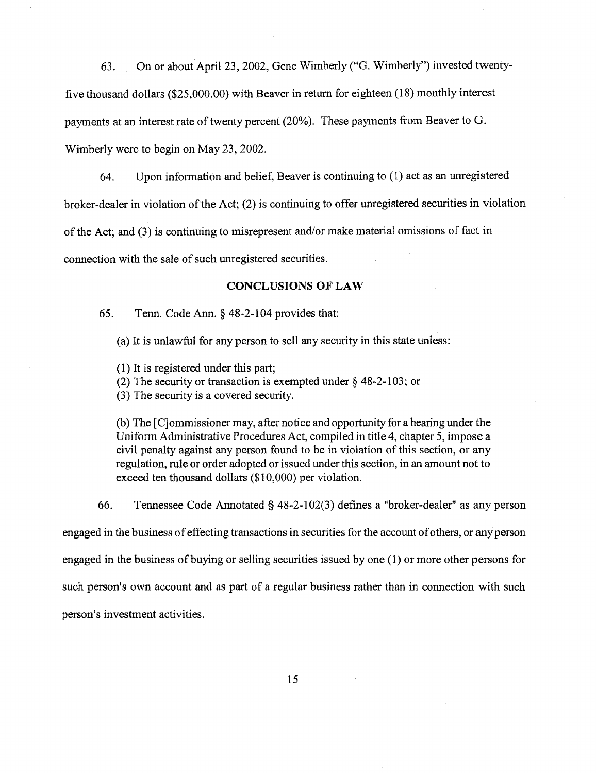63. On or about April 23, 2002, Gene Wimberly ("G. Wimberly'') invested twentyfive thousand dollars (\$25,000.00) with Beaver in return for eighteen (18) monthly interest payments at an interest rate of twenty percent (20%). These payments from Beaver to G. Wimberly were to begin on May 23, 2002.

64. Upon information and belief, Beaver is continuing to (1) act as an unregistered broker-dealer in violation of the Act; (2) is continuing to offer unregistered securities in violation of the Act; and (3) is continuing to misrepresent and/or make material omissions of fact in connection with the sale of such unregistered securities.

### **CONCLUSIONS OF LAW**

65. Tenn. Code Ann. § 48-2-104 provides that:

(a) It is unlawful for any person to sell any security in this state unless:

( 1) It is registered under this part;

(2) The security or transaction is exempted under § 48-2-103; or

(3) The security is a covered security.

(b) The [ C]ommissioner may, after notice and opportunity for a hearing under the Uniform Administrative Procedures Act, compiled in title 4, chapter 5, impose a civil penalty against any person found to be in violation of this section, or any regulation, rule or order adopted or issued under this section, in an amount not to exceed ten thousand dollars (\$10,000) per violation.

66. Tennessee Code Annotated§ 48-2-102(3) defines a "broker-dealer" as any person

engaged in the business of effecting transactions in securities for the account of others, or any person

engaged in the business of buying or selling securities issued by one (1) or more other persons for

such person's own account and as part of a regular business rather than in connection with such

person's investment activities.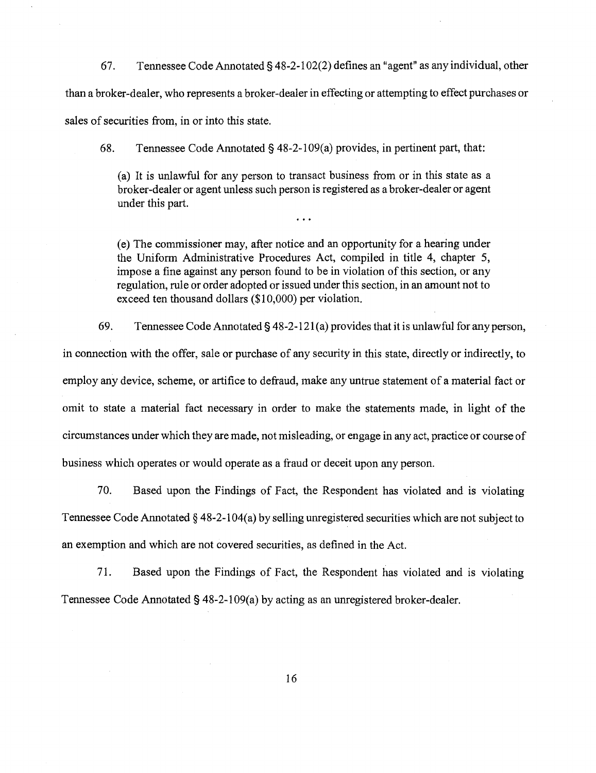67. Tennessee Code Annotated§ 48-2-1 02(2) defines an "agent" as any individual, other than a broker-dealer, who represents a broker-dealer in effecting or attempting to effect purchases or sales of securities from, in or into this state.

68. Tennessee Code Annotated § 48-2-1 09( a) provides, in pertinent part, that:

(a) It is unlawful for any person to transact business from or in this state as a broker-dealer or agent unless such person is registered as a broker-dealer or agent under this part.

(e) The commissioner may, after notice and an opportunity for a hearing under the Uniform Administrative Procedures Act, compiled in title 4, chapter 5, impose a fine against any person found to be in violation of this section, or any regulation, rule or order adopted or issued under this section, in an amount not to exceed ten thousand dollars (\$10,000) per violation.

69. Tennessee Code Annotated§ 48-2-121 (a) provides that it is unlawful for any person,

in connection with the offer, sale or purchase of any security in this state, directly or indirectly, to employ any device, scheme, or artifice to defraud, make any untrue statement of a material fact or omit to state a material fact necessary in order to make the statements made, in light of the circumstances under which they are made, not misleading, or engage in any act, practice or course of business which operates or would operate as a fraud or deceit upon any person.

70. Based upon the Findings of Fact, the Respondent has violated and is violating Tennessee Code Annotated § 48-2-104(a) by selling unregistered securities which are not subject to an exemption and which are not covered securities, as defined in the Act.

71. Based upon the Findings of Fact, the Respondent has violated and is violating Tennessee Code Annotated§ 48-2-109(a) by acting as an unregistered broker-dealer.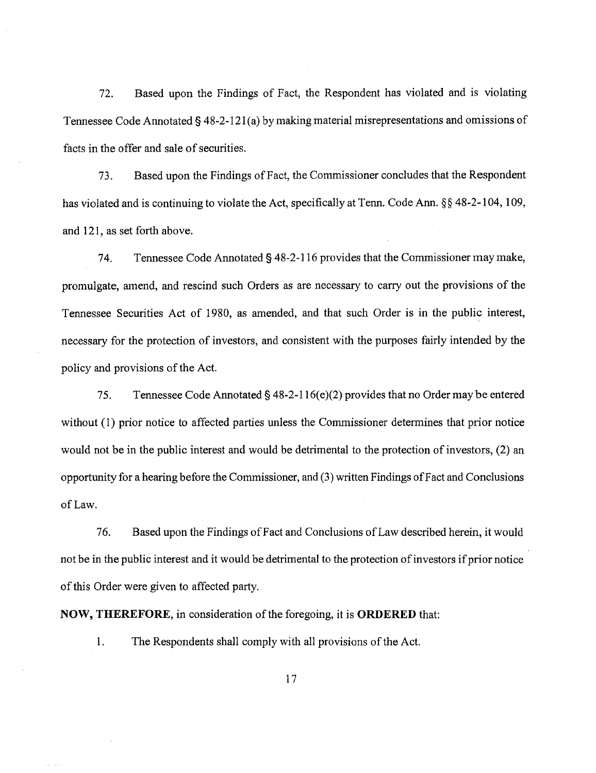72. Based upon the Findings of Fact, the Respondent has violated and is violating Tennessee Code Annotated § 48-2-121 (a) by making material misrepresentations and omissions of facts in the offer and sale of securities.

73. Based upon the Findings ofFact, the Commissioner concludes that the Respondent has violated and is continuing to violate the Act, specifically at Tenn. Code Ann. §§ 48-2-104, 109, and 121, as set forth above.

74. Tennessee Code Annotated§ 48-2-116 provides that the Commissioner may make, promulgate, amend, and rescind such Orders as are necessary to carry out the provisions of the Tennessee Securities Act of 1980, as amended, and that such Order is in the public interest, necessary for the protection of investors, and consistent with the purposes fairly intended by the policy and provisions of the Act.

75. Tennessee Code Annotated§ 48-2-116( e)(2) provides that no Order may be entered without (1) prior notice to affected parties unless the Commissioner determines that prior notice would not be in the public interest and would be detrimental to the protection of investors, (2) an opportunity for a hearing before the Commissioner, and (3) written Findings of Fact and Conclusions of Law.

76. Based upon the Findings of Fact and Conclusions of Law described herein, it would not be in the public interest and it would be detrimental to the protection of investors if prior notice of this Order were given to affected party.

**NOW, THEREFORE,** in consideration of the foregoing, it is **ORDERED** that:

1. The Respondents shall comply with all provisions of the Act.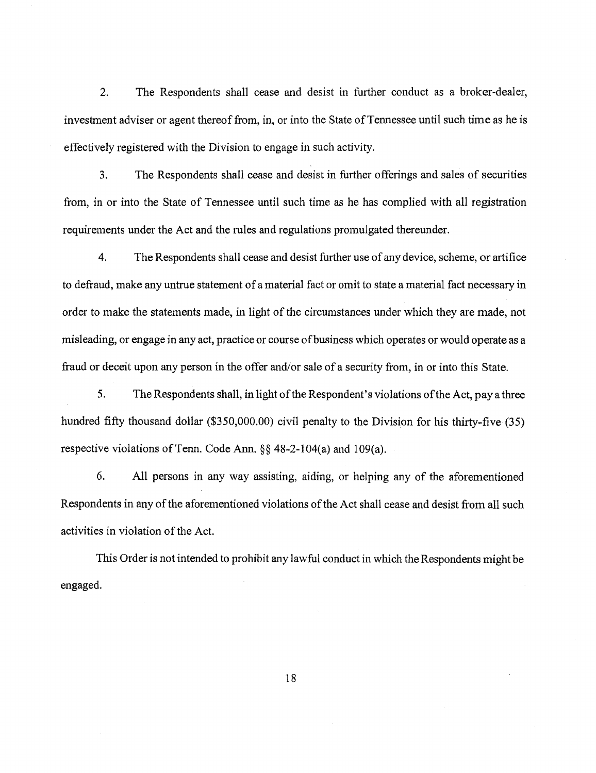2. The Respondents shall cease and desist in further conduct as a broker-dealer, investment adviser or agent thereof from, in, or into the State of Tennessee until such time as he is effectively registered with the Division to engage in such activity.

3. The Respondents shall cease and desist in further offerings and sales of securities from, in or into the State of Tennessee until such time as he has complied with all registration requirements under the Act and the rules and regulations promulgated thereunder.

4. The Respondents shall cease and desist further use of any device, scheme, or artifice to defraud, make any untrue statement of a material fact or omit to state a material fact necessary in order to make the statements made, in light of the circumstances under which they are made, not misleading, or engage in any act, practice or course of business which operates or would operate as a fraud or deceit upon any person in the offer and/or sale of a security from, in or into this State.

5. The Respondents shall, in light of the Respondent's violations of the Act, pay a three hundred fifty thousand dollar (\$350,000.00) civil penalty to the Division for his thirty-five (35) respective violations of Tenn. Code Ann.  $\S$ § 48-2-104(a) and 109(a).

6. All persons in any way assisting, aiding, or helping any of the aforementioned Respondents in any of the aforementioned violations of the Act shall cease and desist from all such activities in violation of the Act.

This Order is not intended to prohibit any lawful conduct in which the Respondents might be engaged.